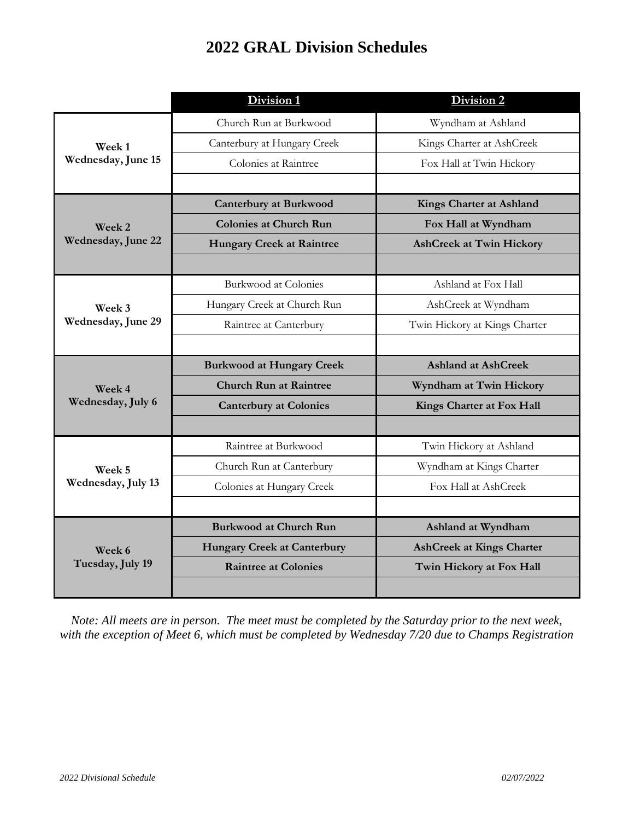## **2022 GRAL Division Schedules**

|                              | Division 1                         | Division 2                       |
|------------------------------|------------------------------------|----------------------------------|
| Week 1<br>Wednesday, June 15 | Church Run at Burkwood             | Wyndham at Ashland               |
|                              | Canterbury at Hungary Creek        | Kings Charter at AshCreek        |
|                              | Colonies at Raintree               | Fox Hall at Twin Hickory         |
|                              |                                    |                                  |
| Week 2<br>Wednesday, June 22 | <b>Canterbury at Burkwood</b>      | <b>Kings Charter at Ashland</b>  |
|                              | <b>Colonies at Church Run</b>      | Fox Hall at Wyndham              |
|                              | <b>Hungary Creek at Raintree</b>   | <b>AshCreek at Twin Hickory</b>  |
|                              |                                    |                                  |
| Week 3<br>Wednesday, June 29 | <b>Burkwood at Colonies</b>        | Ashland at Fox Hall              |
|                              | Hungary Creek at Church Run        | AshCreek at Wyndham              |
|                              | Raintree at Canterbury             | Twin Hickory at Kings Charter    |
|                              |                                    |                                  |
|                              | <b>Burkwood at Hungary Creek</b>   | <b>Ashland at AshCreek</b>       |
|                              |                                    |                                  |
| Week 4                       | <b>Church Run at Raintree</b>      | Wyndham at Twin Hickory          |
| Wednesday, July 6            | <b>Canterbury at Colonies</b>      | Kings Charter at Fox Hall        |
|                              |                                    |                                  |
|                              | Raintree at Burkwood               | Twin Hickory at Ashland          |
| Week 5                       | Church Run at Canterbury           | Wyndham at Kings Charter         |
| Wednesday, July 13           | Colonies at Hungary Creek          | Fox Hall at AshCreek             |
|                              |                                    |                                  |
|                              | <b>Burkwood at Church Run</b>      | Ashland at Wyndham               |
| Week 6                       | <b>Hungary Creek at Canterbury</b> | <b>AshCreek at Kings Charter</b> |
| Tuesday, July 19             | <b>Raintree at Colonies</b>        | Twin Hickory at Fox Hall         |

*Note: All meets are in person. The meet must be completed by the Saturday prior to the next week, with the exception of Meet 6, which must be completed by Wednesday 7/20 due to Champs Registration*